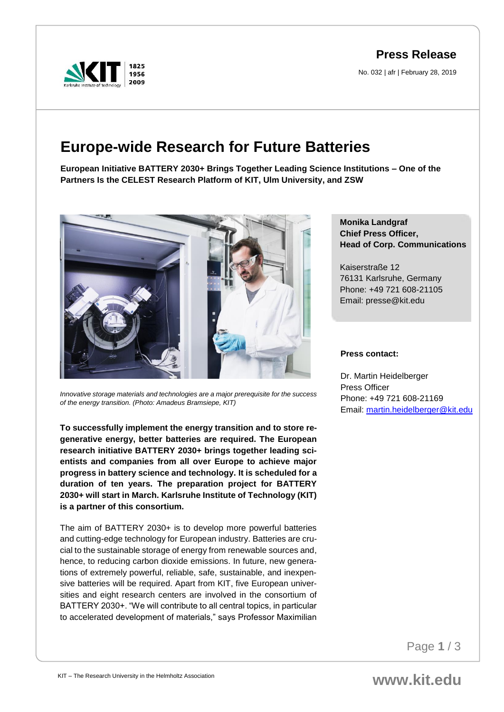**Press Release**

No. 032 | afr | February 28, 2019



# **Europe-wide Research for Future Batteries**

**European Initiative BATTERY 2030+ Brings Together Leading Science Institutions – One of the Partners Is the CELEST Research Platform of KIT, Ulm University, and ZSW**



*Innovative storage materials and technologies are a major prerequisite for the success of the energy transition. (Photo: Amadeus Bramsiepe, KIT)*

**To successfully implement the energy transition and to store regenerative energy, better batteries are required. The European research initiative BATTERY 2030+ brings together leading scientists and companies from all over Europe to achieve major progress in battery science and technology. It is scheduled for a duration of ten years. The preparation project for BATTERY 2030+ will start in March. Karlsruhe Institute of Technology (KIT) is a partner of this consortium.** 

The aim of BATTERY 2030+ is to develop more powerful batteries and cutting-edge technology for European industry. Batteries are crucial to the sustainable storage of energy from renewable sources and, hence, to reducing carbon dioxide emissions. In future, new generations of extremely powerful, reliable, safe, sustainable, and inexpensive batteries will be required. Apart from KIT, five European universities and eight research centers are involved in the consortium of BATTERY 2030+. "We will contribute to all central topics, in particular to accelerated development of materials," says Professor Maximilian

# **Monika Landgraf Chief Press Officer, Head of Corp. Communications**

Kaiserstraße 12 76131 Karlsruhe, Germany Phone: +49 721 608-21105 Email: presse@kit.edu

#### **Press contact:**

Dr. Martin Heidelberger Press Officer Phone: +49 721 608-21169 Email: [martin.heidelberger@kit.edu](mailto:martin.heidelberger@kit.edu)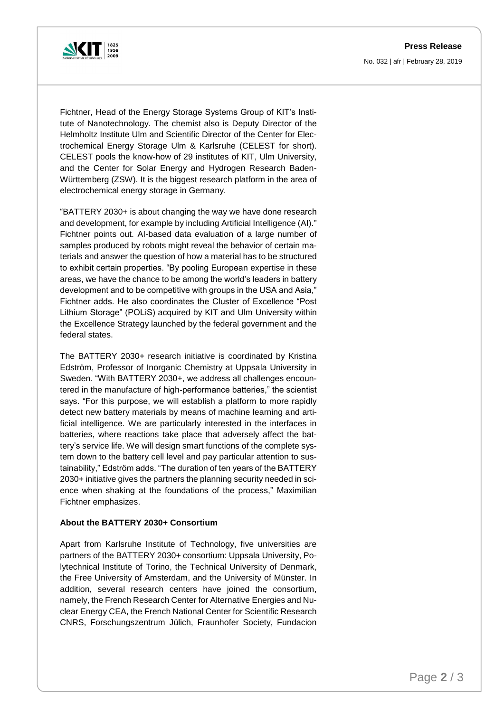

Fichtner, Head of the Energy Storage Systems Group of KIT's Institute of Nanotechnology. The chemist also is Deputy Director of the Helmholtz Institute Ulm and Scientific Director of the Center for Electrochemical Energy Storage Ulm & Karlsruhe (CELEST for short). CELEST pools the know-how of 29 institutes of KIT, Ulm University, and the Center for Solar Energy and Hydrogen Research Baden-Württemberg (ZSW). It is the biggest research platform in the area of electrochemical energy storage in Germany.

"BATTERY 2030+ is about changing the way we have done research and development, for example by including Artificial Intelligence (AI)." Fichtner points out. AI-based data evaluation of a large number of samples produced by robots might reveal the behavior of certain materials and answer the question of how a material has to be structured to exhibit certain properties. "By pooling European expertise in these areas, we have the chance to be among the world's leaders in battery development and to be competitive with groups in the USA and Asia," Fichtner adds. He also coordinates the Cluster of Excellence "Post Lithium Storage" (POLiS) acquired by KIT and Ulm University within the Excellence Strategy launched by the federal government and the federal states.

The BATTERY 2030+ research initiative is coordinated by Kristina Edström, Professor of Inorganic Chemistry at Uppsala University in Sweden. "With BATTERY 2030+, we address all challenges encountered in the manufacture of high-performance batteries," the scientist says. "For this purpose, we will establish a platform to more rapidly detect new battery materials by means of machine learning and artificial intelligence. We are particularly interested in the interfaces in batteries, where reactions take place that adversely affect the battery's service life. We will design smart functions of the complete system down to the battery cell level and pay particular attention to sustainability," Edström adds. "The duration of ten years of the BATTERY 2030+ initiative gives the partners the planning security needed in science when shaking at the foundations of the process," Maximilian Fichtner emphasizes.

## **About the BATTERY 2030+ Consortium**

Apart from Karlsruhe Institute of Technology, five universities are partners of the BATTERY 2030+ consortium: Uppsala University, Polytechnical Institute of Torino, the Technical University of Denmark, the Free University of Amsterdam, and the University of Münster. In addition, several research centers have joined the consortium, namely, the French Research Center for Alternative Energies and Nuclear Energy CEA, the French National Center for Scientific Research CNRS, Forschungszentrum Jülich, Fraunhofer Society, Fundacion